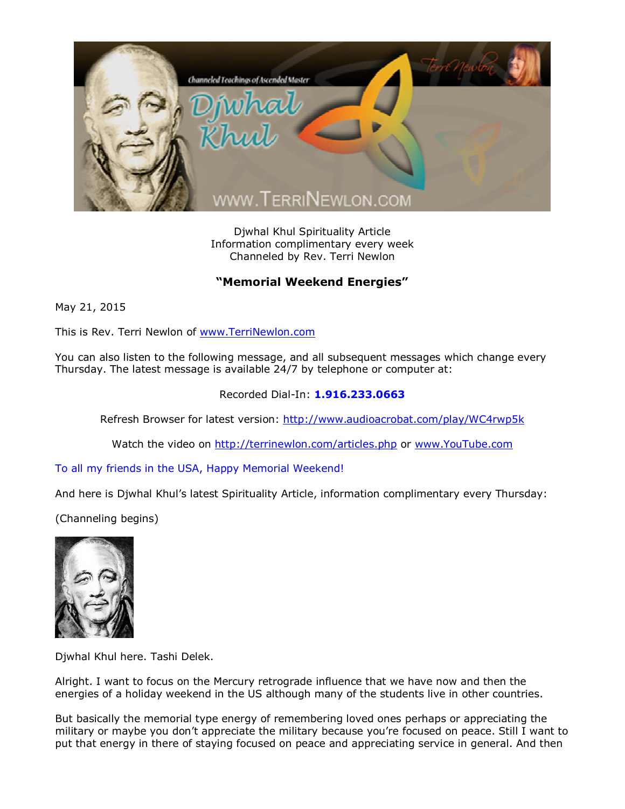

Djwhal Khul Spirituality Article Information complimentary every week Channeled by Rev. Terri Newlon

## **"Memorial Weekend Energies"**

May 21, 2015

This is Rev. Terri Newlon of [www.TerriNewlon.com](http://www.terrinewlon.com/)

You can also listen to the following message, and all subsequent messages which change every Thursday. The latest message is available 24/7 by telephone or computer at:

## Recorded Dial-In: **1.916.233.0663**

Refresh Browser for latest version: <http://www.audioacrobat.com/play/WC4rwp5k>

Watch the video on <http://terrinewlon.com/articles.php> or [www.YouTube.com](http://www.youtube.com/)

To all my friends in the USA, Happy Memorial Weekend!

And here is Djwhal Khul's latest Spirituality Article, information complimentary every Thursday:

(Channeling begins)



Djwhal Khul here. Tashi Delek.

Alright. I want to focus on the Mercury retrograde influence that we have now and then the energies of a holiday weekend in the US although many of the students live in other countries.

But basically the memorial type energy of remembering loved ones perhaps or appreciating the military or maybe you don't appreciate the military because you're focused on peace. Still I want to put that energy in there of staying focused on peace and appreciating service in general. And then